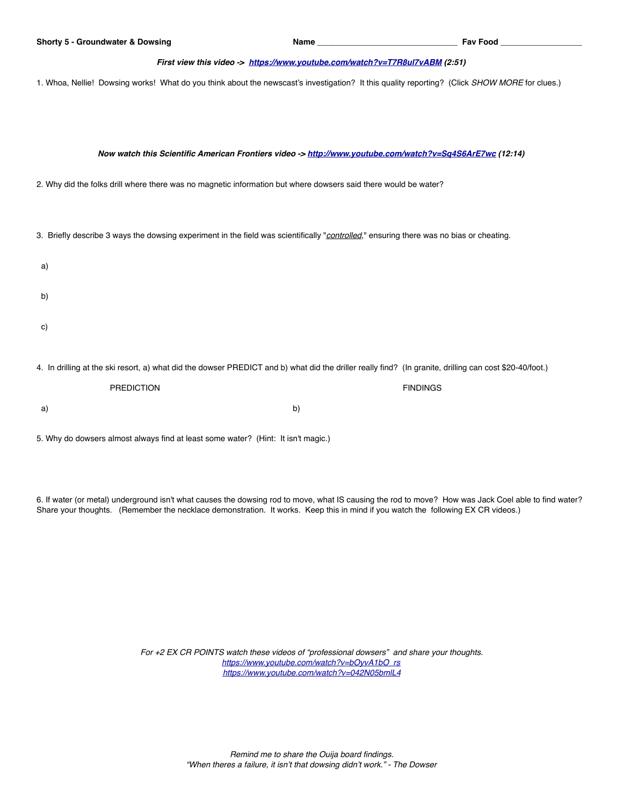## *First view this video -> <https://www.youtube.com/watch?v=T7R8ul7vABM> (2:51)*

1. Whoa, Nellie! Dowsing works! What do you think about the newscast's investigation? It this quality reporting? (Click *SHOW MORE* for clues.)

*Now watch this Scientific American Frontiers video -><http://www.youtube.com/watch?v=Sq4S6ArE7wc>(12:14)*

2. Why did the folks drill where there was no magnetic information but where dowsers said there would be water?

3. Briefly describe 3 ways the dowsing experiment in the field was scientifically "*controlled*," ensuring there was no bias or cheating.

| a) |                                                                                                                                                         |                 |
|----|---------------------------------------------------------------------------------------------------------------------------------------------------------|-----------------|
| b) |                                                                                                                                                         |                 |
| C) |                                                                                                                                                         |                 |
|    | 4. In drilling at the ski resort, a) what did the dowser PREDICT and b) what did the driller really find? (In granite, drilling can cost \$20-40/foot.) |                 |
|    | <b>PREDICTION</b>                                                                                                                                       | <b>FINDINGS</b> |

5. Why do dowsers almost always find at least some water? (Hint: It isn't magic.)

a) b)

6. If water (or metal) underground isn't what causes the dowsing rod to move, what IS causing the rod to move? How was Jack Coel able to find water? Share your thoughts. (Remember the necklace demonstration. It works. Keep this in mind if you watch the following EX CR videos.)

> *For +2 EX CR POINTS watch these videos of "professional dowsers" and share your thoughts. [https://www.youtube.com/watch?v=bOyvA1bO\\_rs](https://www.youtube.com/watch?v=bOyvA1bO_rs) <https://www.youtube.com/watch?v=042N05bmlL4>*